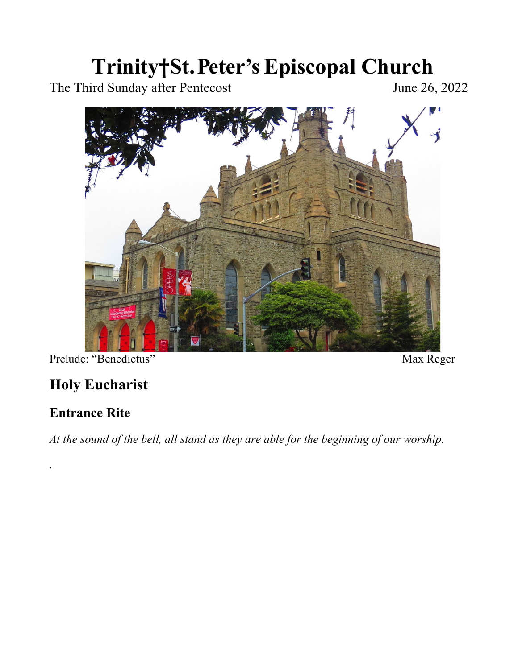# **Trinity†St. Peter's Episcopal Church**

The Third Sunday after Pentecost



Prelude: "Benedictus" Max Reger

# **Holy Eucharist**

# **Entrance Rite**

*.* 

*At the sound of the bell, all stand as they are able for the beginning of our worship.*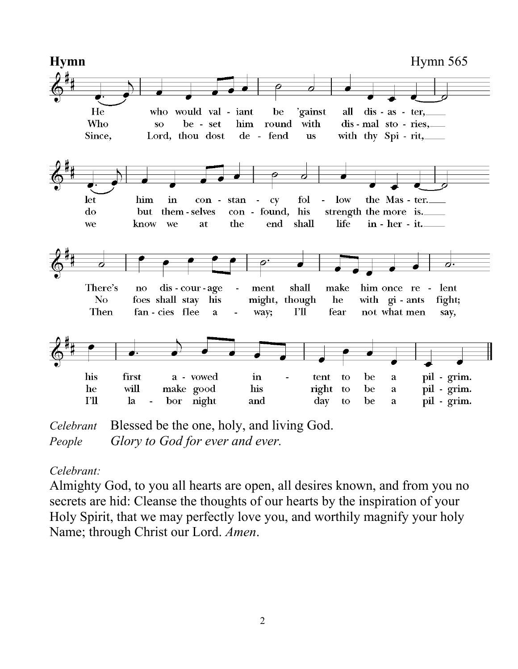

*Celebrant* Blessed be the one, holy, and living God. *People Glory to God for ever and ever.*

#### *Celebrant:*

Almighty God, to you all hearts are open, all desires known, and from you no secrets are hid: Cleanse the thoughts of our hearts by the inspiration of your Holy Spirit, that we may perfectly love you, and worthily magnify your holy Name; through Christ our Lord. *Amen*.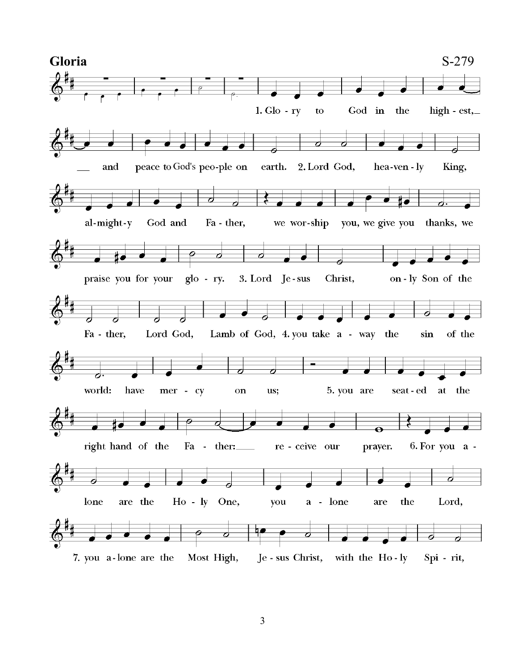

3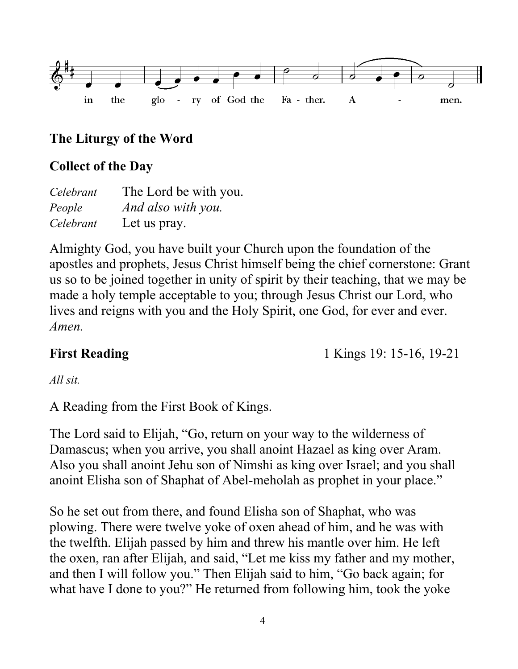

# **The Liturgy of the Word**

### **Collect of the Day**

| Celebrant | The Lord be with you. |
|-----------|-----------------------|
| People    | And also with you.    |
| Celebrant | Let us pray.          |

Almighty God, you have built your Church upon the foundation of the apostles and prophets, Jesus Christ himself being the chief cornerstone: Grant us so to be joined together in unity of spirit by their teaching, that we may be made a holy temple acceptable to you; through Jesus Christ our Lord, who lives and reigns with you and the Holy Spirit, one God, for ever and ever. *Amen.*

**First Reading** 1 Kings 19: 15-16, 19-21

*All sit.* 

A Reading from the First Book of Kings.

The Lord said to Elijah, "Go, return on your way to the wilderness of Damascus; when you arrive, you shall anoint Hazael as king over Aram. Also you shall anoint Jehu son of Nimshi as king over Israel; and you shall anoint Elisha son of Shaphat of Abel-meholah as prophet in your place."

So he set out from there, and found Elisha son of Shaphat, who was plowing. There were twelve yoke of oxen ahead of him, and he was with the twelfth. Elijah passed by him and threw his mantle over him. He left the oxen, ran after Elijah, and said, "Let me kiss my father and my mother, and then I will follow you." Then Elijah said to him, "Go back again; for what have I done to you?" He returned from following him, took the yoke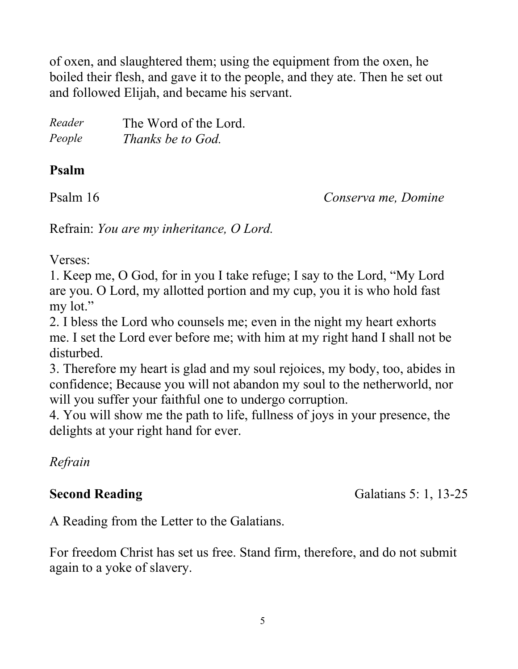of oxen, and slaughtered them; using the equipment from the oxen, he boiled their flesh, and gave it to the people, and they ate. Then he set out and followed Elijah, and became his servant.

*Reader* The Word of the Lord. *People Thanks be to God.* 

### **Psalm**

Psalm 16 *Conserva me, Domine* 

Refrain: *You are my inheritance, O Lord.* 

Verses:

1. Keep me, O God, for in you I take refuge; I say to the Lord, "My Lord are you. O Lord, my allotted portion and my cup, you it is who hold fast my lot."

2. I bless the Lord who counsels me; even in the night my heart exhorts me. I set the Lord ever before me; with him at my right hand I shall not be disturbed.

3. Therefore my heart is glad and my soul rejoices, my body, too, abides in confidence; Because you will not abandon my soul to the netherworld, nor will you suffer your faithful one to undergo corruption.

4. You will show me the path to life, fullness of joys in your presence, the delights at your right hand for ever.

*Refrain* 

**Second Reading** Galatians 5: 1, 13-25

A Reading from the Letter to the Galatians.

For freedom Christ has set us free. Stand firm, therefore, and do not submit again to a yoke of slavery.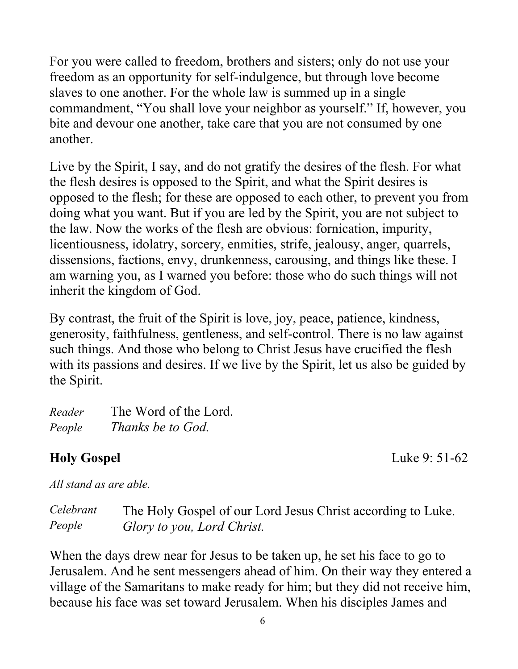For you were called to freedom, brothers and sisters; only do not use your freedom as an opportunity for self-indulgence, but through love become slaves to one another. For the whole law is summed up in a single commandment, "You shall love your neighbor as yourself." If, however, you bite and devour one another, take care that you are not consumed by one another.

Live by the Spirit, I say, and do not gratify the desires of the flesh. For what the flesh desires is opposed to the Spirit, and what the Spirit desires is opposed to the flesh; for these are opposed to each other, to prevent you from doing what you want. But if you are led by the Spirit, you are not subject to the law. Now the works of the flesh are obvious: fornication, impurity, licentiousness, idolatry, sorcery, enmities, strife, jealousy, anger, quarrels, dissensions, factions, envy, drunkenness, carousing, and things like these. I am warning you, as I warned you before: those who do such things will not inherit the kingdom of God.

By contrast, the fruit of the Spirit is love, joy, peace, patience, kindness, generosity, faithfulness, gentleness, and self-control. There is no law against such things. And those who belong to Christ Jesus have crucified the flesh with its passions and desires. If we live by the Spirit, let us also be guided by the Spirit.

| Reader | The Word of the Lord. |
|--------|-----------------------|
| People | Thanks be to God.     |

**Holy Gospel** Luke 9: 51-62

*All stand as are able.* 

*Celebrant* The Holy Gospel of our Lord Jesus Christ according to Luke. *People Glory to you, Lord Christ.* 

When the days drew near for Jesus to be taken up, he set his face to go to Jerusalem. And he sent messengers ahead of him. On their way they entered a village of the Samaritans to make ready for him; but they did not receive him, because his face was set toward Jerusalem. When his disciples James and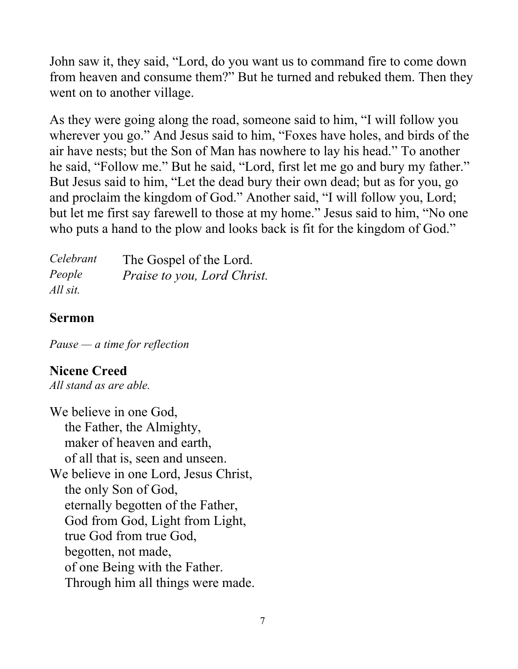John saw it, they said, "Lord, do you want us to command fire to come down from heaven and consume them?" But he turned and rebuked them. Then they went on to another village.

As they were going along the road, someone said to him, "I will follow you wherever you go." And Jesus said to him, "Foxes have holes, and birds of the air have nests; but the Son of Man has nowhere to lay his head." To another he said, "Follow me." But he said, "Lord, first let me go and bury my father." But Jesus said to him, "Let the dead bury their own dead; but as for you, go and proclaim the kingdom of God." Another said, "I will follow you, Lord; but let me first say farewell to those at my home." Jesus said to him, "No one who puts a hand to the plow and looks back is fit for the kingdom of God."

| Celebrant | The Gospel of the Lord.            |
|-----------|------------------------------------|
| People    | <i>Praise to you, Lord Christ.</i> |
| All sit.  |                                    |

#### **Sermon**

*Pause — a time for reflection* 

### **Nicene Creed**

*All stand as are able.* 

We believe in one God, the Father, the Almighty, maker of heaven and earth, of all that is, seen and unseen. We believe in one Lord, Jesus Christ, the only Son of God, eternally begotten of the Father, God from God, Light from Light, true God from true God, begotten, not made, of one Being with the Father. Through him all things were made.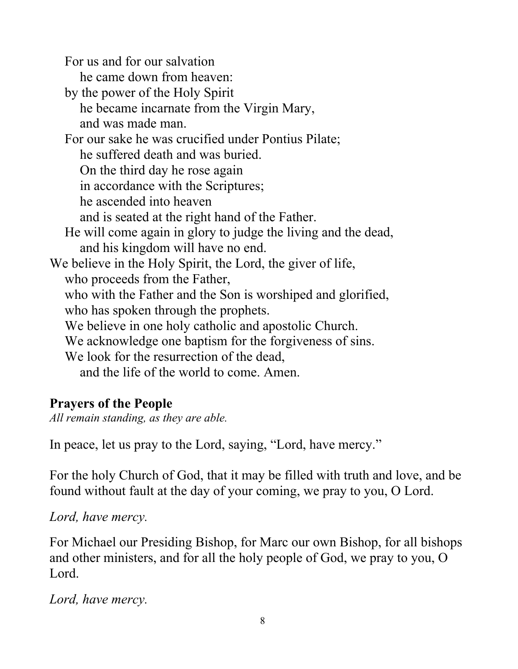For us and for our salvation he came down from heaven: by the power of the Holy Spirit he became incarnate from the Virgin Mary, and was made man. For our sake he was crucified under Pontius Pilate; he suffered death and was buried. On the third day he rose again in accordance with the Scriptures; he ascended into heaven and is seated at the right hand of the Father. He will come again in glory to judge the living and the dead, and his kingdom will have no end. We believe in the Holy Spirit, the Lord, the giver of life, who proceeds from the Father, who with the Father and the Son is worshiped and glorified, who has spoken through the prophets. We believe in one holy catholic and apostolic Church. We acknowledge one baptism for the forgiveness of sins. We look for the resurrection of the dead, and the life of the world to come. Amen.

### **Prayers of the People**

*All remain standing, as they are able.* 

In peace, let us pray to the Lord, saying, "Lord, have mercy."

For the holy Church of God, that it may be filled with truth and love, and be found without fault at the day of your coming, we pray to you, O Lord.

*Lord, have mercy.* 

For Michael our Presiding Bishop, for Marc our own Bishop, for all bishops and other ministers, and for all the holy people of God, we pray to you, O Lord.

*Lord, have mercy.*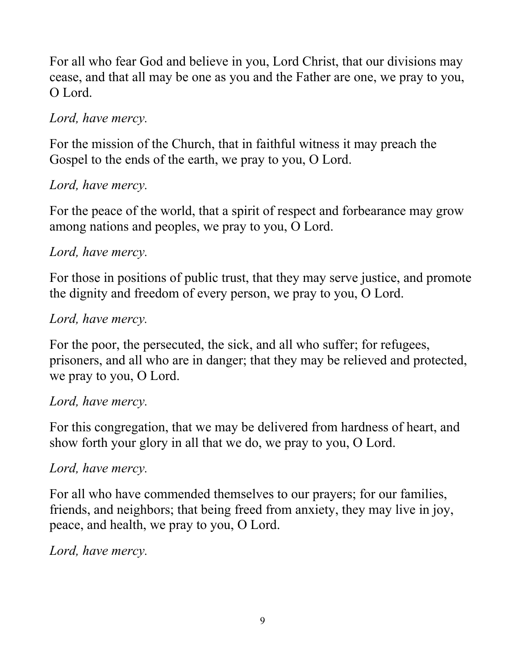For all who fear God and believe in you, Lord Christ, that our divisions may cease, and that all may be one as you and the Father are one, we pray to you, O Lord.

*Lord, have mercy.* 

For the mission of the Church, that in faithful witness it may preach the Gospel to the ends of the earth, we pray to you, O Lord.

*Lord, have mercy.* 

For the peace of the world, that a spirit of respect and forbearance may grow among nations and peoples, we pray to you, O Lord.

*Lord, have mercy.* 

For those in positions of public trust, that they may serve justice, and promote the dignity and freedom of every person, we pray to you, O Lord.

*Lord, have mercy.* 

For the poor, the persecuted, the sick, and all who suffer; for refugees, prisoners, and all who are in danger; that they may be relieved and protected, we pray to you, O Lord.

### *Lord, have mercy.*

For this congregation, that we may be delivered from hardness of heart, and show forth your glory in all that we do, we pray to you, O Lord.

*Lord, have mercy.* 

For all who have commended themselves to our prayers; for our families, friends, and neighbors; that being freed from anxiety, they may live in joy, peace, and health, we pray to you, O Lord.

*Lord, have mercy.*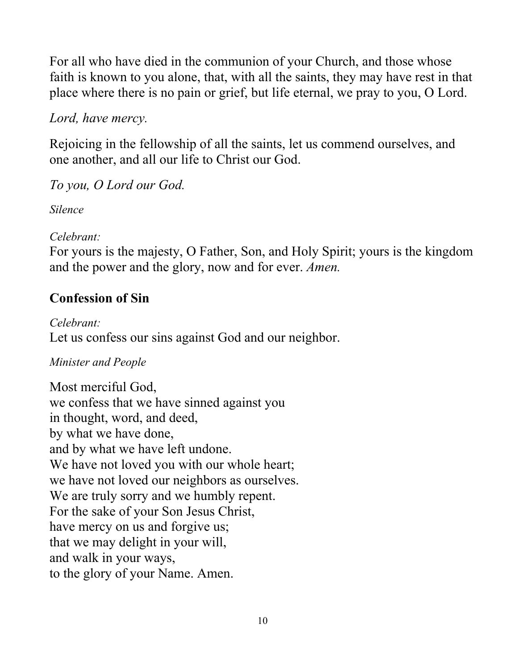For all who have died in the communion of your Church, and those whose faith is known to you alone, that, with all the saints, they may have rest in that place where there is no pain or grief, but life eternal, we pray to you, O Lord.

#### *Lord, have mercy.*

Rejoicing in the fellowship of all the saints, let us commend ourselves, and one another, and all our life to Christ our God.

*To you, O Lord our God.* 

*Silence* 

#### *Celebrant:*

For yours is the majesty, O Father, Son, and Holy Spirit; yours is the kingdom and the power and the glory, now and for ever. *Amen.* 

### **Confession of Sin**

*Celebrant:* Let us confess our sins against God and our neighbor.

#### *Minister and People*

Most merciful God, we confess that we have sinned against you in thought, word, and deed, by what we have done, and by what we have left undone. We have not loved you with our whole heart; we have not loved our neighbors as ourselves. We are truly sorry and we humbly repent. For the sake of your Son Jesus Christ, have mercy on us and forgive us; that we may delight in your will, and walk in your ways, to the glory of your Name. Amen.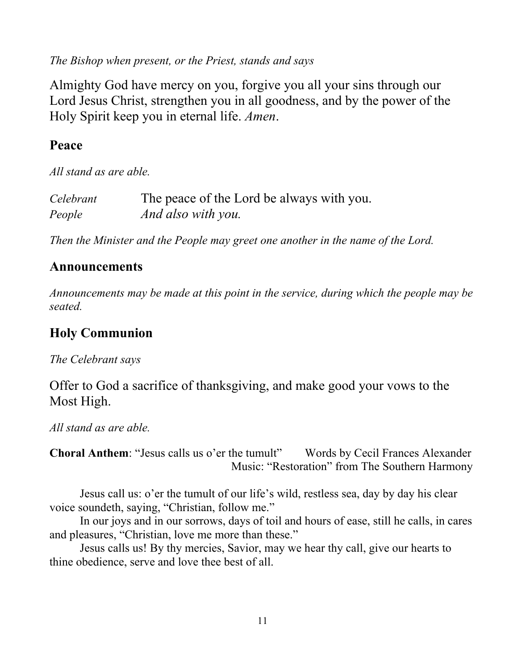*The Bishop when present, or the Priest, stands and says* 

Almighty God have mercy on you, forgive you all your sins through our Lord Jesus Christ, strengthen you in all goodness, and by the power of the Holy Spirit keep you in eternal life. *Amen*.

#### **Peace**

*All stand as are able.* 

| Celebrant | The peace of the Lord be always with you. |
|-----------|-------------------------------------------|
| People    | And also with you.                        |

*Then the Minister and the People may greet one another in the name of the Lord.* 

#### **Announcements**

*Announcements may be made at this point in the service, during which the people may be seated.* 

#### **Holy Communion**

*The Celebrant says* 

Offer to God a sacrifice of thanksgiving, and make good your vows to the Most High.

*All stand as are able.*

**Choral Anthem**: "Jesus calls us o'er the tumult"Words by Cecil Frances Alexander Music: "Restoration" from The Southern Harmony

 Jesus call us: o'er the tumult of our life's wild, restless sea, day by day his clear voice soundeth, saying, "Christian, follow me."

 In our joys and in our sorrows, days of toil and hours of ease, still he calls, in cares and pleasures, "Christian, love me more than these."

 Jesus calls us! By thy mercies, Savior, may we hear thy call, give our hearts to thine obedience, serve and love thee best of all.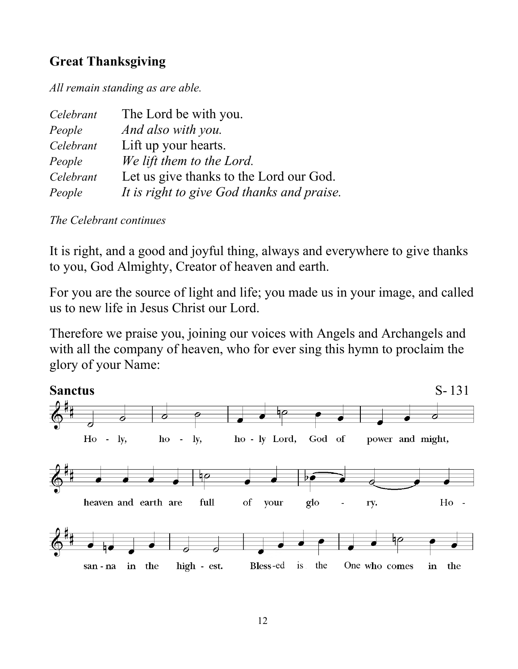## **Great Thanksgiving**

*All remain standing as are able.* 

| Celebrant | The Lord be with you.                      |
|-----------|--------------------------------------------|
| People    | And also with you.                         |
| Celebrant | Lift up your hearts.                       |
| People    | We lift them to the Lord.                  |
| Celebrant | Let us give thanks to the Lord our God.    |
| People    | It is right to give God thanks and praise. |

*The Celebrant continues* 

It is right, and a good and joyful thing, always and everywhere to give thanks to you, God Almighty, Creator of heaven and earth.

For you are the source of light and life; you made us in your image, and called us to new life in Jesus Christ our Lord.

Therefore we praise you, joining our voices with Angels and Archangels and with all the company of heaven, who for ever sing this hymn to proclaim the glory of your Name:

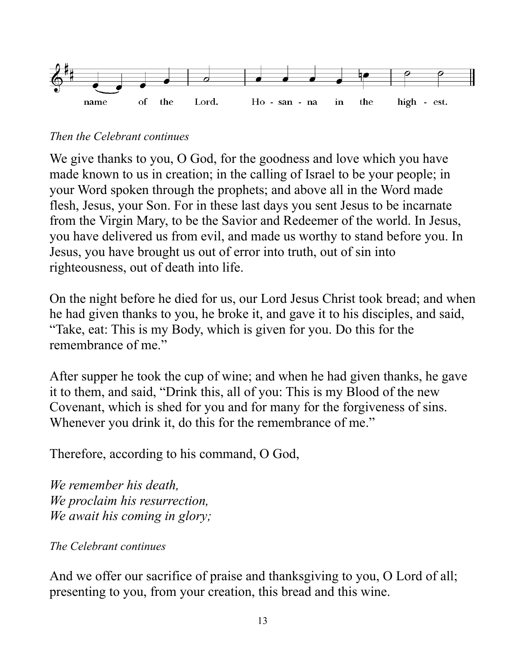

#### *Then the Celebrant continues*

We give thanks to you, O God, for the goodness and love which you have made known to us in creation; in the calling of Israel to be your people; in your Word spoken through the prophets; and above all in the Word made flesh, Jesus, your Son. For in these last days you sent Jesus to be incarnate from the Virgin Mary, to be the Savior and Redeemer of the world. In Jesus, you have delivered us from evil, and made us worthy to stand before you. In Jesus, you have brought us out of error into truth, out of sin into righteousness, out of death into life.

On the night before he died for us, our Lord Jesus Christ took bread; and when he had given thanks to you, he broke it, and gave it to his disciples, and said, "Take, eat: This is my Body, which is given for you. Do this for the remembrance of me."

After supper he took the cup of wine; and when he had given thanks, he gave it to them, and said, "Drink this, all of you: This is my Blood of the new Covenant, which is shed for you and for many for the forgiveness of sins. Whenever you drink it, do this for the remembrance of me."

Therefore, according to his command, O God,

*We remember his death, We proclaim his resurrection, We await his coming in glory;* 

*The Celebrant continues* 

And we offer our sacrifice of praise and thanksgiving to you, O Lord of all; presenting to you, from your creation, this bread and this wine.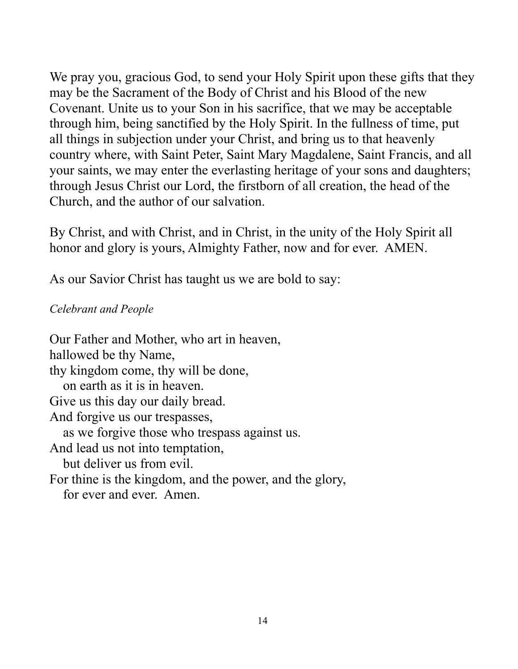We pray you, gracious God, to send your Holy Spirit upon these gifts that they may be the Sacrament of the Body of Christ and his Blood of the new Covenant. Unite us to your Son in his sacrifice, that we may be acceptable through him, being sanctified by the Holy Spirit. In the fullness of time, put all things in subjection under your Christ, and bring us to that heavenly country where, with Saint Peter, Saint Mary Magdalene, Saint Francis, and all your saints, we may enter the everlasting heritage of your sons and daughters; through Jesus Christ our Lord, the firstborn of all creation, the head of the Church, and the author of our salvation.

By Christ, and with Christ, and in Christ, in the unity of the Holy Spirit all honor and glory is yours, Almighty Father, now and for ever. AMEN.

As our Savior Christ has taught us we are bold to say:

#### *Celebrant and People*

Our Father and Mother, who art in heaven, hallowed be thy Name, thy kingdom come, thy will be done, on earth as it is in heaven. Give us this day our daily bread. And forgive us our trespasses, as we forgive those who trespass against us. And lead us not into temptation, but deliver us from evil. For thine is the kingdom, and the power, and the glory, for ever and ever. Amen.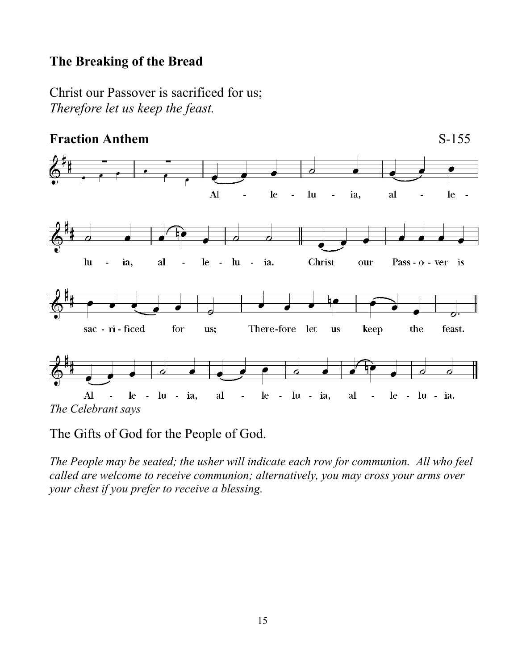### **The Breaking of the Bread**

Christ our Passover is sacrificed for us; *Therefore let us keep the feast.* 



The Gifts of God for the People of God.

*The People may be seated; the usher will indicate each row for communion. All who feel called are welcome to receive communion; alternatively, you may cross your arms over your chest if you prefer to receive a blessing.*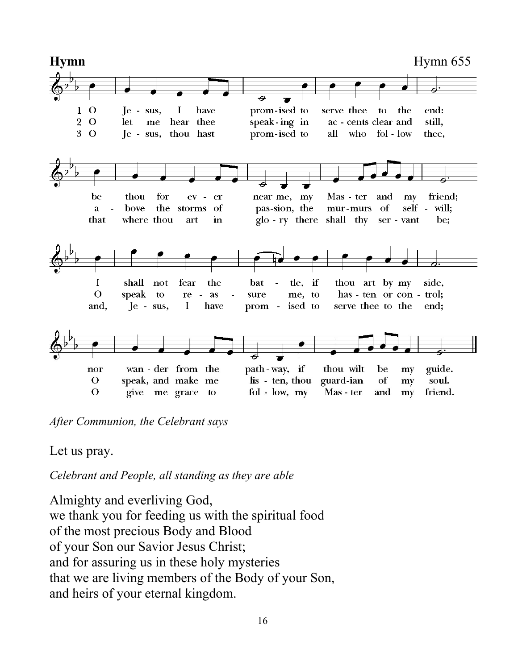

*After Communion, the Celebrant says* 

Let us pray.

*Celebrant and People, all standing as they are able* 

Almighty and everliving God, we thank you for feeding us with the spiritual food of the most precious Body and Blood of your Son our Savior Jesus Christ; and for assuring us in these holy mysteries that we are living members of the Body of your Son, and heirs of your eternal kingdom.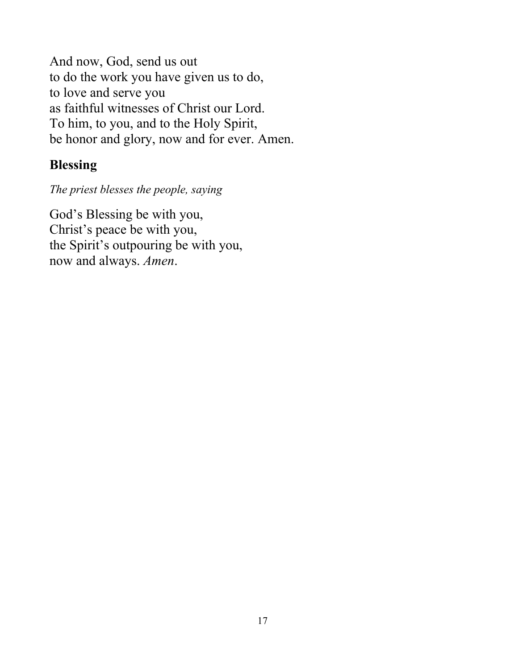And now, God, send us out to do the work you have given us to do, to love and serve you as faithful witnesses of Christ our Lord. To him, to you, and to the Holy Spirit, be honor and glory, now and for ever. Amen.

### **Blessing**

*The priest blesses the people, saying* 

God's Blessing be with you, Christ's peace be with you, the Spirit's outpouring be with you, now and always. *Amen*.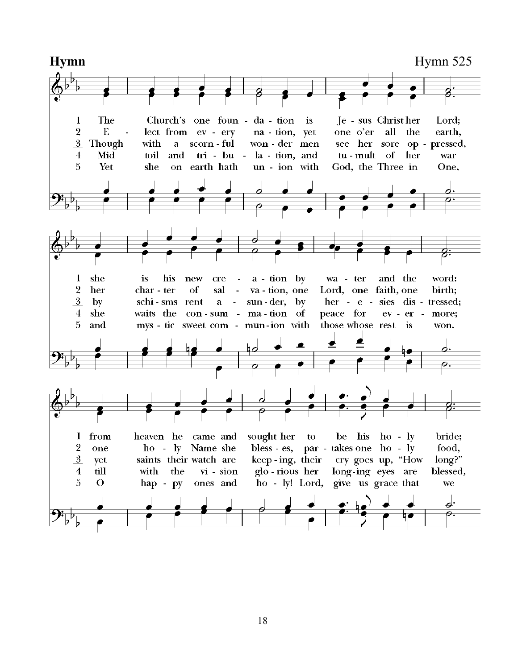

18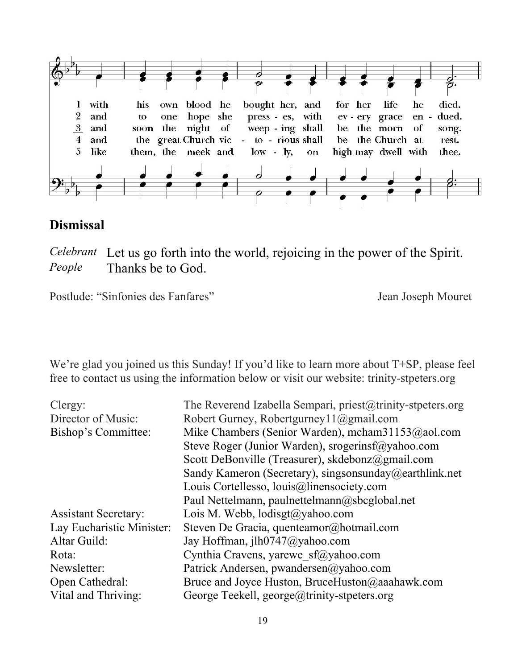

#### **Dismissal**

*Celebrant* Let us go forth into the world, rejoicing in the power of the Spirit. *People* Thanks be to God.

Postlude: "Sinfonies des Fanfares" Jean Joseph Mouret

We're glad you joined us this Sunday! If you'd like to learn more about T+SP, please feel free to contact us using the information below or visit our website: trinity-stpeters.org

| Clergy:<br>Director of Music: | The Reverend Izabella Sempari, priest@trinity-stpeters.org<br>Robert Gurney, Robertgurney $11$ ( $@g$ mail.com |
|-------------------------------|----------------------------------------------------------------------------------------------------------------|
| Bishop's Committee:           | Mike Chambers (Senior Warden), mcham31153@aol.com                                                              |
|                               |                                                                                                                |
|                               | Steve Roger (Junior Warden), srogerinsf@yahoo.com                                                              |
|                               | Scott DeBonville (Treasurer), skdebonz@gmail.com                                                               |
|                               | Sandy Kameron (Secretary), singsonsunday@earthlink.net                                                         |
|                               | Louis Cortellesso, louis@linensociety.com                                                                      |
|                               | Paul Nettelmann, paulnettelmann@sbcglobal.net                                                                  |
| <b>Assistant Secretary:</b>   | Lois M. Webb, $lodisgt@yahoo.com$                                                                              |
| Lay Eucharistic Minister:     | Steven De Gracia, quenteamor@hotmail.com                                                                       |
| Altar Guild:                  | Jay Hoffman, jlh0747@yahoo.com                                                                                 |
| Rota:                         | Cynthia Cravens, yarewe sf@yahoo.com                                                                           |
| Newsletter:                   | Patrick Andersen, pwandersen@yahoo.com                                                                         |
| Open Cathedral:               | Bruce and Joyce Huston, BruceHuston@aaahawk.com                                                                |
| Vital and Thriving:           | George Teekell, $george@trinity-stpeters.org$                                                                  |